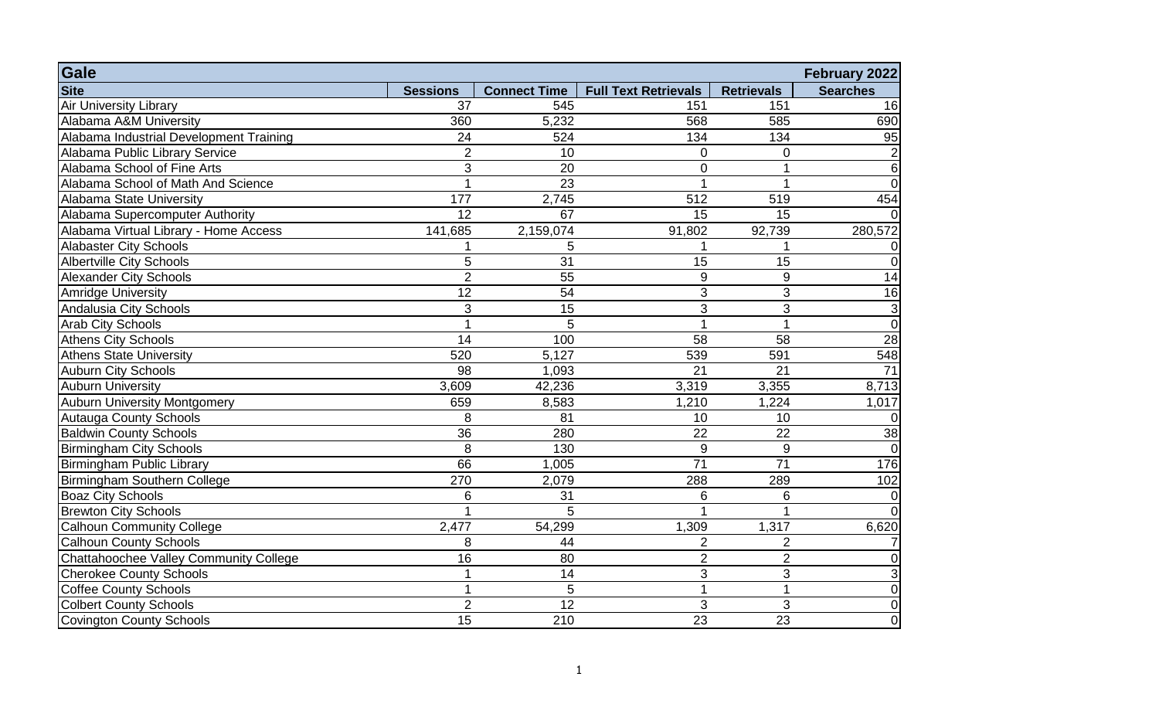| Gale                                    |                 |                     |                             |                   | February 2022   |
|-----------------------------------------|-----------------|---------------------|-----------------------------|-------------------|-----------------|
| <b>Site</b>                             | <b>Sessions</b> | <b>Connect Time</b> | <b>Full Text Retrievals</b> | <b>Retrievals</b> | <b>Searches</b> |
| <b>Air University Library</b>           | 37              | 545                 | 151                         | 151               | 16              |
| Alabama A&M University                  | 360             | 5,232               | 568                         | 585               | 690             |
| Alabama Industrial Development Training | 24              | 524                 | 134                         | 134               | 95              |
| Alabama Public Library Service          | $\overline{2}$  | 10                  | $\overline{0}$              | 0                 | $\mathbf 2$     |
| Alabama School of Fine Arts             | 3               | 20                  | $\overline{0}$              | 1                 | $\,6\,$         |
| Alabama School of Math And Science      | 1               | 23                  |                             |                   | $\overline{0}$  |
| Alabama State University                | 177             | 2,745               | 512                         | 519               | 454             |
| Alabama Supercomputer Authority         | 12              | 67                  | 15                          | 15                | $\Omega$        |
| Alabama Virtual Library - Home Access   | 141,685         | 2,159,074           | 91,802                      | 92,739            | 280,572         |
| <b>Alabaster City Schools</b>           | 1               | 5                   |                             | 1                 | $\overline{0}$  |
| <b>Albertville City Schools</b>         | 5               | 31                  | 15                          | 15                | $\overline{0}$  |
| <b>Alexander City Schools</b>           | $\overline{2}$  | 55                  | $\boldsymbol{9}$            | $9\,$             | 14              |
| Amridge University                      | 12              | 54                  | 3                           | 3                 | 16              |
| <b>Andalusia City Schools</b>           | 3               | 15                  | 3                           | 3                 | $\mathbf 3$     |
| <b>Arab City Schools</b>                | 1               | 5                   | $\overline{1}$              | 1                 | $\overline{0}$  |
| <b>Athens City Schools</b>              | 14              | 100                 | 58                          | 58                | 28              |
| <b>Athens State University</b>          | 520             | 5,127               | 539                         | 591               | 548             |
| <b>Auburn City Schools</b>              | 98              | 1,093               | 21                          | 21                | 71              |
| <b>Auburn University</b>                | 3,609           | 42,236              | 3,319                       | 3,355             | 8,713           |
| <b>Auburn University Montgomery</b>     | 659             | 8,583               | 1,210                       | 1,224             | 1,017           |
| <b>Autauga County Schools</b>           | 8               | 81                  | 10                          | 10                | $\Omega$        |
| <b>Baldwin County Schools</b>           | $\overline{36}$ | 280                 | $\overline{22}$             | 22                | 38              |
| <b>Birmingham City Schools</b>          | 8               | 130                 | $\overline{9}$              | 9                 | $\overline{0}$  |
| Birmingham Public Library               | 66              | 1,005               | $\overline{71}$             | $\overline{71}$   | 176             |
| Birmingham Southern College             | 270             | 2,079               | 288                         | 289               | 102             |
| <b>Boaz City Schools</b>                | 6               | 31                  | 6                           | $\,6\,$           | $\overline{0}$  |
| <b>Brewton City Schools</b>             | 1               | 5                   |                             | 1                 | $\overline{0}$  |
| <b>Calhoun Community College</b>        | 2,477           | 54,299              | 1,309                       | 1,317             | 6,620           |
| <b>Calhoun County Schools</b>           | 8               | 44                  | $\overline{2}$              | 2                 | $\overline{7}$  |
| Chattahoochee Valley Community College  | 16              | 80                  | $\overline{2}$              | $\overline{2}$    | $\overline{0}$  |
| <b>Cherokee County Schools</b>          | $\mathbf{1}$    | 14                  | 3                           | 3                 | $\overline{3}$  |
| Coffee County Schools                   | $\mathbf{1}$    | 5                   | 1                           | $\mathbf{1}$      | $\overline{0}$  |
| <b>Colbert County Schools</b>           | $\overline{2}$  | 12                  | 3                           | 3                 | $\overline{0}$  |
| <b>Covington County Schools</b>         | 15              | 210                 | 23                          | 23                | $\overline{0}$  |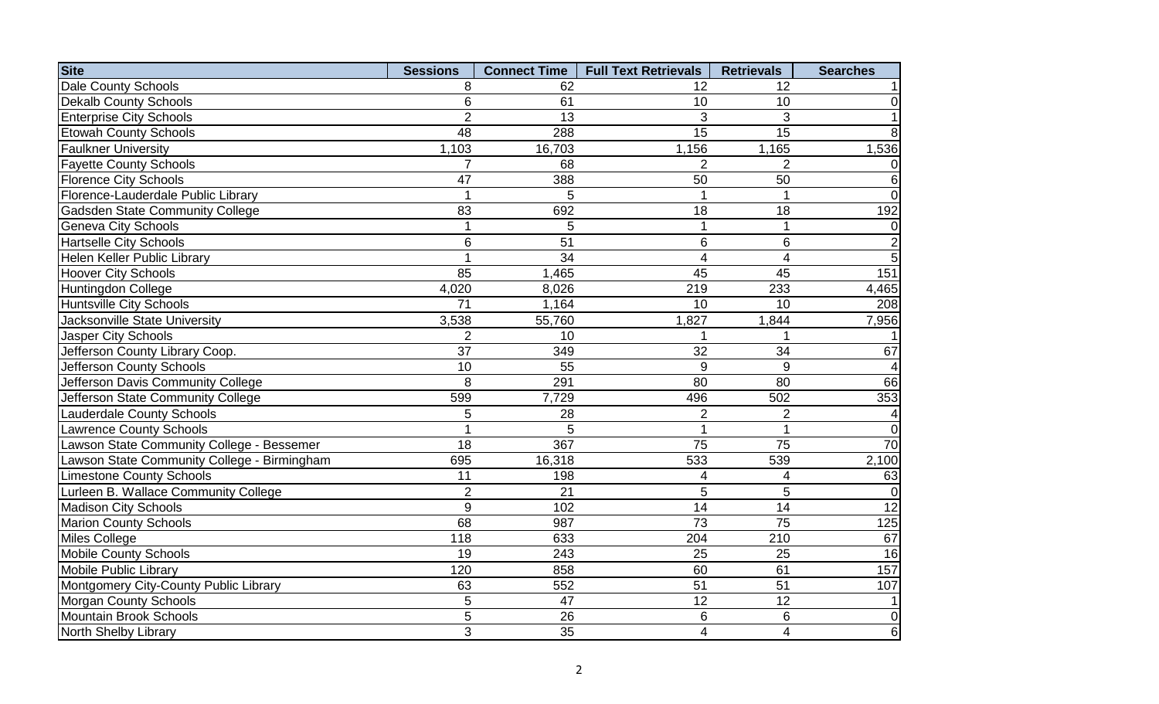| <b>Site</b>                                 | <b>Sessions</b> | <b>Connect Time</b> | <b>Full Text Retrievals</b> | <b>Retrievals</b>       | <b>Searches</b>     |
|---------------------------------------------|-----------------|---------------------|-----------------------------|-------------------------|---------------------|
| Dale County Schools                         | 8               | 62                  | 12                          | 12                      |                     |
| <b>Dekalb County Schools</b>                | 6               | 61                  | 10                          | 10                      | 0                   |
| <b>Enterprise City Schools</b>              | $\overline{2}$  | 13                  | 3                           | 3                       | $\mathbf{1}$        |
| <b>Etowah County Schools</b>                | 48              | 288                 | $\overline{15}$             | 15                      | 8                   |
| <b>Faulkner University</b>                  | 1,103           | 16,703              | 1,156                       | 1,165                   | 1,536               |
| <b>Fayette County Schools</b>               | $\overline{7}$  | 68                  | $\overline{2}$              | $\overline{2}$          | $\mathbf 0$         |
| <b>Florence City Schools</b>                | $\overline{47}$ | 388                 | $\overline{50}$             | $\overline{50}$         | $\overline{6}$      |
| Florence-Lauderdale Public Library          | $\mathbf{1}$    | 5                   | $\mathbf{1}$                | $\mathbf{1}$            | $\overline{0}$      |
| <b>Gadsden State Community College</b>      | 83              | 692                 | 18                          | 18                      | 192                 |
| <b>Geneva City Schools</b>                  | $\mathbf{1}$    | 5                   | 1                           | $\mathbf{1}$            | $\overline{0}$      |
| <b>Hartselle City Schools</b>               | 6               | 51                  | $6\phantom{1}$              | 6                       | $\overline{2}$      |
| Helen Keller Public Library                 | 1               | 34                  | 4                           | $\overline{\mathbf{4}}$ | $\overline{5}$      |
| <b>Hoover City Schools</b>                  | 85              | 1,465               | 45                          | 45                      | 151                 |
| Huntingdon College                          | 4,020           | 8,026               | 219                         | 233                     | 4,465               |
| <b>Huntsville City Schools</b>              | 71              | 1,164               | 10                          | 10                      | 208                 |
| Jacksonville State University               | 3,538           | 55,760              | 1,827                       | 1,844                   | 7,956               |
| Jasper City Schools                         | $\overline{2}$  | 10                  | 1                           |                         |                     |
| Jefferson County Library Coop.              | 37              | 349                 | 32                          | 34                      | 67                  |
| Jefferson County Schools                    | 10              | 55                  | 9                           | 9                       | $\overline{a}$      |
| Jefferson Davis Community College           | 8               | 291                 | 80                          | 80                      | 66                  |
| Jefferson State Community College           | 599             | 7,729               | 496                         | 502                     | 353                 |
| <b>Lauderdale County Schools</b>            | 5               | 28                  | $\overline{2}$              | $\overline{2}$          | $\overline{4}$      |
| <b>Lawrence County Schools</b>              | $\mathbf{1}$    | 5                   | 1                           | $\mathbf{1}$            | $\overline{0}$      |
| Lawson State Community College - Bessemer   | 18              | 367                 | 75                          | 75                      | 70                  |
| Lawson State Community College - Birmingham | 695             | 16,318              | 533                         | 539                     | $\overline{2}$ ,100 |
| <b>Limestone County Schools</b>             | 11              | 198                 | 4                           | 4                       | 63                  |
| Lurleen B. Wallace Community College        | $\overline{2}$  | 21                  | 5                           | 5                       | $\overline{0}$      |
| <b>Madison City Schools</b>                 | 9               | 102                 | 14                          | 14                      | $\overline{12}$     |
| <b>Marion County Schools</b>                | 68              | 987                 | $\overline{73}$             | 75                      | 125                 |
| Miles College                               | 118             | 633                 | 204                         | 210                     | 67                  |
| <b>Mobile County Schools</b>                | 19              | 243                 | 25                          | 25                      | 16                  |
| Mobile Public Library                       | 120             | 858                 | 60                          | 61                      | 157                 |
| Montgomery City-County Public Library       | 63              | 552                 | 51                          | 51                      | 107                 |
| <b>Morgan County Schools</b>                | 5               | 47                  | 12                          | 12                      | 1 <sup>1</sup>      |
| Mountain Brook Schools                      | 5               | 26                  | 6                           | 6                       | $\overline{0}$      |
| North Shelby Library                        | 3               | 35                  | $\overline{4}$              | $\overline{\mathbf{4}}$ | $\,6$               |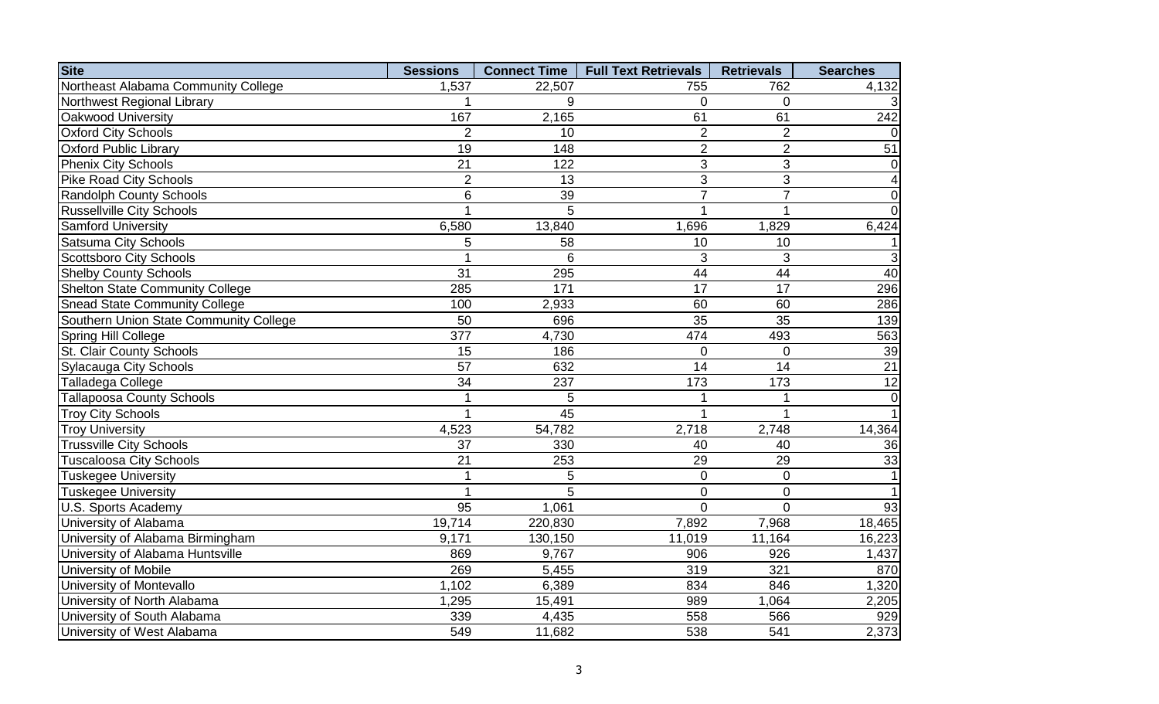| <b>Site</b>                            | <b>Sessions</b> | <b>Connect Time</b> | <b>Full Text Retrievals</b> | <b>Retrievals</b> | <b>Searches</b> |
|----------------------------------------|-----------------|---------------------|-----------------------------|-------------------|-----------------|
| Northeast Alabama Community College    | 1,537           | 22,507              | 755                         | 762               | 4,132           |
| Northwest Regional Library             |                 | 9                   | 0                           | $\overline{0}$    |                 |
| Oakwood University                     | 167             | 2,165               | 61                          | 61                | 242             |
| <b>Oxford City Schools</b>             | $\overline{2}$  | 10                  | $\overline{2}$              | $\overline{2}$    |                 |
| <b>Oxford Public Library</b>           | $\overline{19}$ | 148                 | $\overline{2}$              | $\overline{2}$    | 51              |
| <b>Phenix City Schools</b>             | $\overline{21}$ | 122                 | $\overline{3}$              | 3                 | 0               |
| <b>Pike Road City Schools</b>          | $\overline{2}$  | 13                  | $\overline{3}$              | 3                 | 4               |
| <b>Randolph County Schools</b>         | 6               | 39                  | $\overline{7}$              | $\overline{7}$    | $\mathbf 0$     |
| <b>Russellville City Schools</b>       | 1               | 5                   |                             | 1                 | $\overline{0}$  |
| <b>Samford University</b>              | 6,580           | 13,840              | 1,696                       | 1,829             | 6,424           |
| <b>Satsuma City Schools</b>            | 5               | 58                  | 10                          | 10                |                 |
| <b>Scottsboro City Schools</b>         | 1               | 6                   | 3                           | 3                 | 3               |
| <b>Shelby County Schools</b>           | 31              | 295                 | 44                          | 44                | 40              |
| <b>Shelton State Community College</b> | 285             | 171                 | 17                          | 17                | 296             |
| <b>Snead State Community College</b>   | 100             | 2,933               | 60                          | 60                | 286             |
| Southern Union State Community College | 50              | 696                 | 35                          | 35                | 139             |
| Spring Hill College                    | 377             | 4,730               | 474                         | 493               | 563             |
| St. Clair County Schools               | 15              | 186                 | 0                           | $\Omega$          | 39              |
| <b>Sylacauga City Schools</b>          | 57              | 632                 | 14                          | 14                | $\overline{21}$ |
| <b>Talladega College</b>               | $\overline{34}$ | 237                 | 173                         | 173               | $\overline{12}$ |
| <b>Tallapoosa County Schools</b>       | 1               | 5                   |                             | 1                 | $\mathbf 0$     |
| <b>Troy City Schools</b>               | 1               | 45                  |                             | $\overline{1}$    |                 |
| <b>Troy University</b>                 | 4,523           | 54,782              | 2,718                       | 2,748             | 14,364          |
| <b>Trussville City Schools</b>         | 37              | 330                 | 40                          | 40                | 36              |
| <b>Tuscaloosa City Schools</b>         | $\overline{21}$ | 253                 | 29                          | 29                | 33              |
| <b>Tuskegee University</b>             | $\mathbf 1$     | 5                   | $\overline{0}$              | $\overline{0}$    | $\mathbf{1}$    |
| <b>Tuskegee University</b>             | 1               | 5                   | $\overline{0}$              | $\overline{0}$    |                 |
| U.S. Sports Academy                    | $\overline{95}$ | 1,061               | $\overline{0}$              | $\overline{0}$    | 93              |
| University of Alabama                  | 19,714          | 220,830             | 7,892                       | 7,968             | 18,465          |
| University of Alabama Birmingham       | 9,171           | 130,150             | 11,019                      | 11,164            | 16,223          |
| University of Alabama Huntsville       | 869             | 9,767               | 906                         | 926               | 1,437           |
| University of Mobile                   | 269             | 5,455               | 319                         | 321               | 870             |
| University of Montevallo               | 1,102           | 6,389               | 834                         | 846               | 1,320           |
| University of North Alabama            | 1,295           | 15,491              | 989                         | 1,064             | 2,205           |
| University of South Alabama            | 339             | 4,435               | 558                         | 566               | 929             |
| University of West Alabama             | 549             | 11,682              | 538                         | 541               | 2,373           |